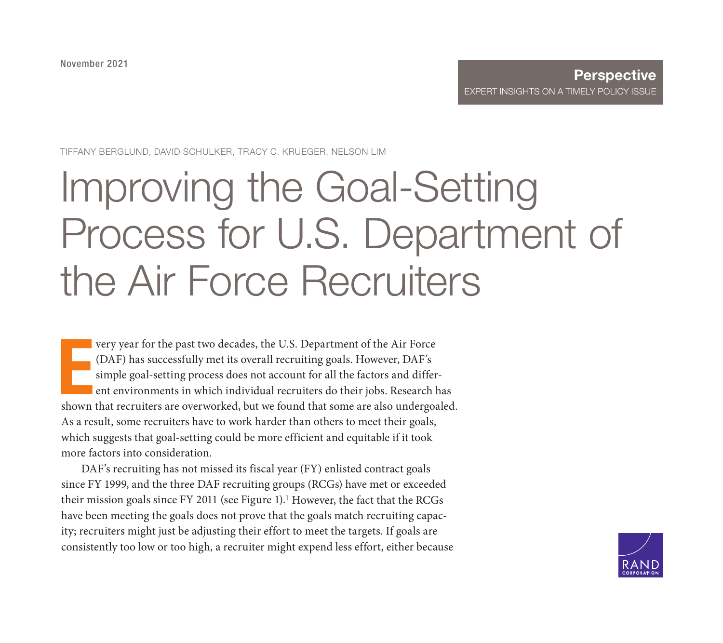TIFFANY BERGLUND, DAVID SCHULKER, TRACY C. KRUEGER, NELSON LIM

# Improving the Goal-Setting [Process for U.S. Department of](https://www.rand.org/pubs/perspectives/PEA548-1.html)  the Air Force Recruiters

very year for the past two decades, the U.S. Department of the Air Force (DAF) has successfully met its overall recruiting goals. However, DAF's simple goal-setting process does not account for all the factors and differen very year for the past two decades, the U.S. Department of the Air Force (DAF) has successfully met its overall recruiting goals. However, DAF's simple goal-setting process does not account for all the factors and different environments in which individual recruiters do their jobs. Research has As a result, some recruiters have to work harder than others to meet their goals, which suggests that goal-setting could be more efficient and equitable if it took more factors into consideration.

DAF's recruiting has not missed its fiscal year (FY) enlisted contract goals since FY 1999, and the three DAF recruiting groups (RCGs) have met or exceeded their mission goals since FY 2011 (see Figure 1).<sup>1</sup> However, the fact that the RCGs have been meeting the goals does not prove that the goals match recruiting capacity; recruiters might just be adjusting their effort to meet the targets. If goals are consistently too low or too high, a recruiter might expend less effort, either because

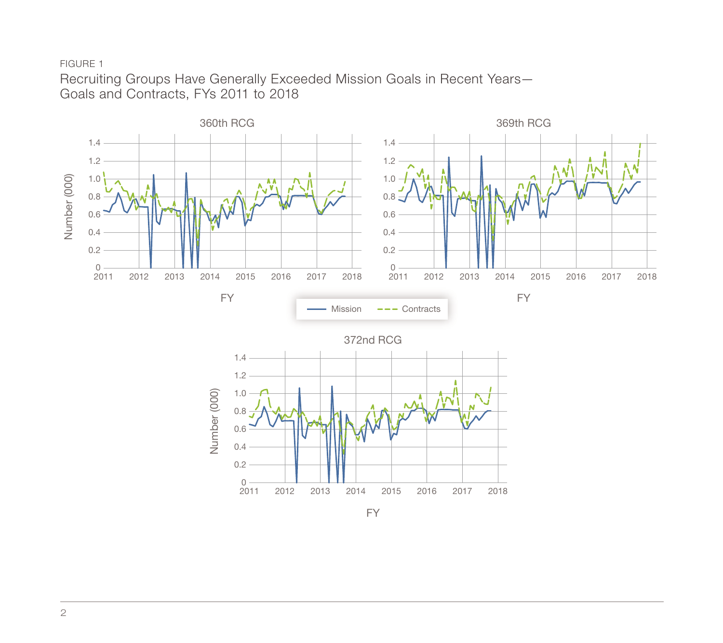FIGURE 1

Recruiting Groups Have Generally Exceeded Mission Goals in Recent Years— Goals and Contracts, FYs 2011 to 2018

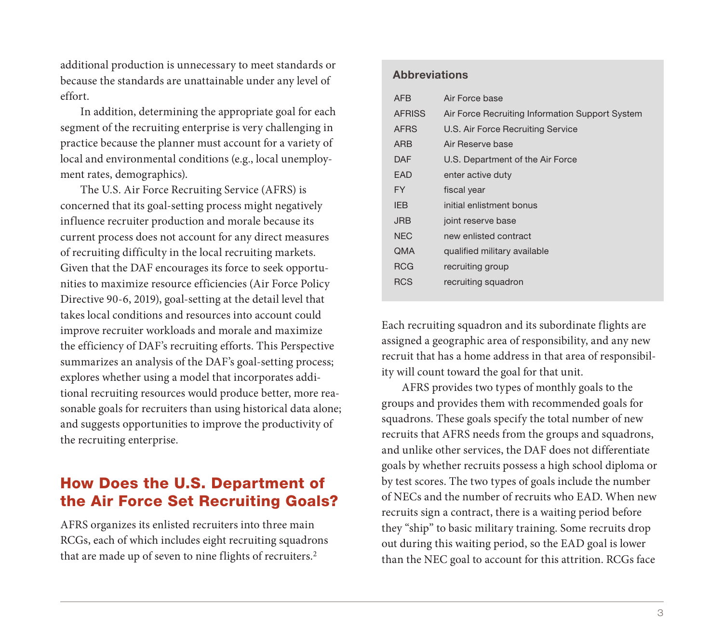additional production is unnecessary to meet standards or because the standards are unattainable under any level of effort.

In addition, determining the appropriate goal for each segment of the recruiting enterprise is very challenging in practice because the planner must account for a variety of local and environmental conditions (e.g., local unemployment rates, demographics).

The U.S. Air Force Recruiting Service (AFRS) is concerned that its goal-setting process might negatively influence recruiter production and morale because its current process does not account for any direct measures of recruiting difficulty in the local recruiting markets. Given that the DAF encourages its force to seek opportunities to maximize resource efficiencies (Air Force Policy Directive 90-6, 2019), goal-setting at the detail level that takes local conditions and resources into account could improve recruiter workloads and morale and maximize the efficiency of DAF's recruiting efforts. This Perspective summarizes an analysis of the DAF's goal-setting process; explores whether using a model that incorporates additional recruiting resources would produce better, more reasonable goals for recruiters than using historical data alone; and suggests opportunities to improve the productivity of the recruiting enterprise.

# How Does the U.S. Department of the Air Force Set Recruiting Goals?

AFRS organizes its enlisted recruiters into three main RCGs, each of which includes eight recruiting squadrons that are made up of seven to nine flights of recruiters.2

#### **Abbreviations**

| <b>AFB</b>    | Air Force base                                  |
|---------------|-------------------------------------------------|
| <b>AFRISS</b> | Air Force Recruiting Information Support System |
| <b>AFRS</b>   | U.S. Air Force Recruiting Service               |
| <b>ARB</b>    | Air Reserve base                                |
| DAF           | U.S. Department of the Air Force                |
| EAD           | enter active duty                               |
| FY.           | fiscal year                                     |
| <b>IEB</b>    | initial enlistment bonus                        |
| <b>JRB</b>    | joint reserve base                              |
| <b>NEC</b>    | new enlisted contract                           |
| <b>QMA</b>    | qualified military available                    |
| <b>RCG</b>    | recruiting group                                |
| <b>RCS</b>    | recruiting squadron                             |

Each recruiting squadron and its subordinate flights are assigned a geographic area of responsibility, and any new recruit that has a home address in that area of responsibility will count toward the goal for that unit.

AFRS provides two types of monthly goals to the groups and provides them with recommended goals for squadrons. These goals specify the total number of new recruits that AFRS needs from the groups and squadrons, and unlike other services, the DAF does not differentiate goals by whether recruits possess a high school diploma or by test scores. The two types of goals include the number of NECs and the number of recruits who EAD. When new recruits sign a contract, there is a waiting period before they "ship" to basic military training. Some recruits drop out during this waiting period, so the EAD goal is lower than the NEC goal to account for this attrition. RCGs face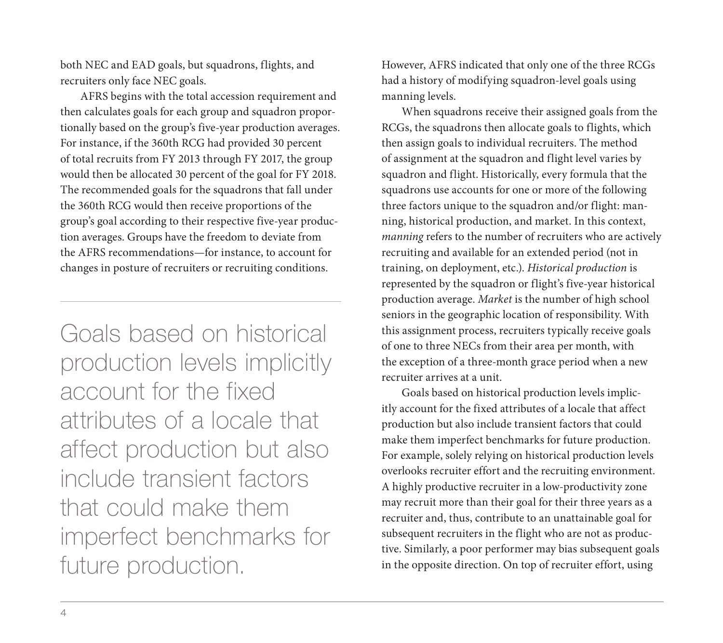both NEC and EAD goals, but squadrons, flights, and recruiters only face NEC goals.

AFRS begins with the total accession requirement and then calculates goals for each group and squadron proportionally based on the group's five-year production averages. For instance, if the 360th RCG had provided 30 percent of total recruits from FY 2013 through FY 2017, the group would then be allocated 30 percent of the goal for FY 2018. The recommended goals for the squadrons that fall under the 360th RCG would then receive proportions of the group's goal according to their respective five-year production averages. Groups have the freedom to deviate from the AFRS recommendations—for instance, to account for changes in posture of recruiters or recruiting conditions.

Goals based on historical production levels implicitly account for the fixed attributes of a locale that affect production but also include transient factors that could make them imperfect benchmarks for future production.

However, AFRS indicated that only one of the three RCGs had a history of modifying squadron-level goals using manning levels.

When squadrons receive their assigned goals from the RCGs, the squadrons then allocate goals to flights, which then assign goals to individual recruiters. The method of assignment at the squadron and flight level varies by squadron and flight. Historically, every formula that the squadrons use accounts for one or more of the following three factors unique to the squadron and/or flight: manning, historical production, and market. In this context, *manning* refers to the number of recruiters who are actively recruiting and available for an extended period (not in training, on deployment, etc.). *Historical production* is represented by the squadron or flight's five-year historical production average. *Market* is the number of high school seniors in the geographic location of responsibility. With this assignment process, recruiters typically receive goals of one to three NECs from their area per month, with the exception of a three-month grace period when a new recruiter arrives at a unit.

Goals based on historical production levels implicitly account for the fixed attributes of a locale that affect production but also include transient factors that could make them imperfect benchmarks for future production. For example, solely relying on historical production levels overlooks recruiter effort and the recruiting environment. A highly productive recruiter in a low-productivity zone may recruit more than their goal for their three years as a recruiter and, thus, contribute to an unattainable goal for subsequent recruiters in the flight who are not as productive. Similarly, a poor performer may bias subsequent goals in the opposite direction. On top of recruiter effort, using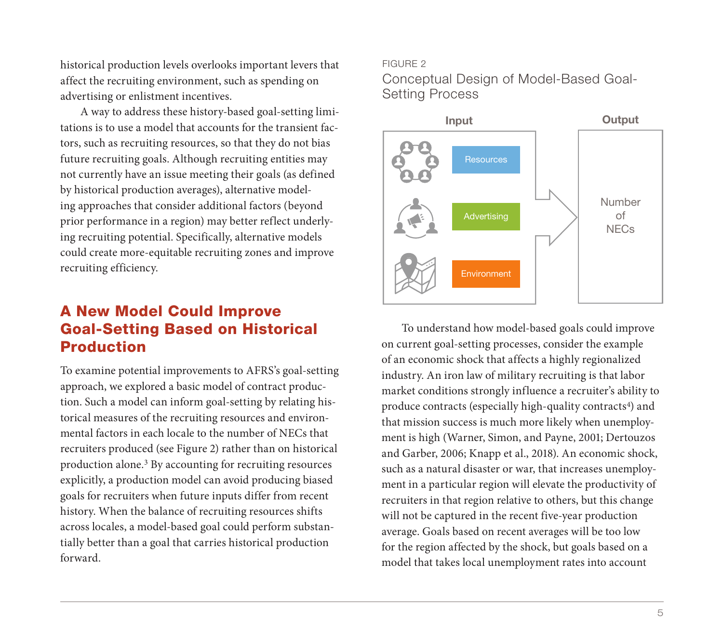historical production levels overlooks important levers that affect the recruiting environment, such as spending on advertising or enlistment incentives.

A way to address these history-based goal-setting limitations is to use a model that accounts for the transient factors, such as recruiting resources, so that they do not bias future recruiting goals. Although recruiting entities may not currently have an issue meeting their goals (as defined by historical production averages), alternative modeling approaches that consider additional factors (beyond prior performance in a region) may better reflect underlying recruiting potential. Specifically, alternative models could create more-equitable recruiting zones and improve recruiting efficiency.

# A New Model Could Improve Goal-Setting Based on Historical Production

To examine potential improvements to AFRS's goal-setting approach, we explored a basic model of contract production. Such a model can inform goal-setting by relating historical measures of the recruiting resources and environmental factors in each locale to the number of NECs that recruiters produced (see Figure 2) rather than on historical production alone.3 By accounting for recruiting resources explicitly, a production model can avoid producing biased goals for recruiters when future inputs differ from recent history. When the balance of recruiting resources shifts across locales, a model-based goal could perform substantially better than a goal that carries historical production forward.

#### FIGURE 2

Conceptual Design of Model-Based Goal-Setting Process



To understand how model-based goals could improve on current goal-setting processes, consider the example of an economic shock that affects a highly regionalized industry. An iron law of military recruiting is that labor market conditions strongly influence a recruiter's ability to produce contracts (especially high-quality contracts<sup>4</sup>) and that mission success is much more likely when unemployment is high (Warner, Simon, and Payne, 2001; Dertouzos and Garber, 2006; Knapp et al., 2018). An economic shock, such as a natural disaster or war, that increases unemployment in a particular region will elevate the productivity of recruiters in that region relative to others, but this change will not be captured in the recent five-year production average. Goals based on recent averages will be too low for the region affected by the shock, but goals based on a model that takes local unemployment rates into account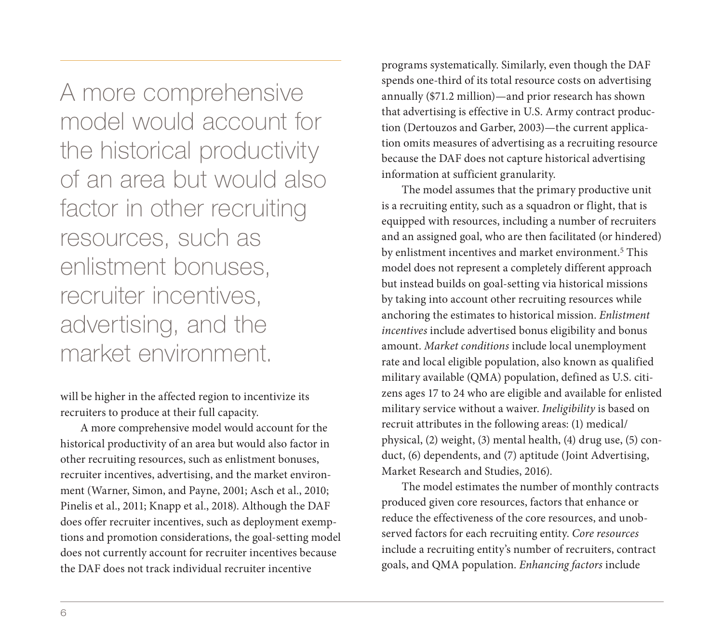A more comprehensive model would account for the historical productivity of an area but would also factor in other recruiting resources, such as enlistment bonuses, recruiter incentives, advertising, and the market environment.

will be higher in the affected region to incentivize its recruiters to produce at their full capacity.

A more comprehensive model would account for the historical productivity of an area but would also factor in other recruiting resources, such as enlistment bonuses, recruiter incentives, advertising, and the market environment (Warner, Simon, and Payne, 2001; Asch et al., 2010; Pinelis et al., 2011; Knapp et al., 2018). Although the DAF does offer recruiter incentives, such as deployment exemptions and promotion considerations, the goal-setting model does not currently account for recruiter incentives because the DAF does not track individual recruiter incentive

programs systematically. Similarly, even though the DAF spends one-third of its total resource costs on advertising annually (\$71.2 million)—and prior research has shown that advertising is effective in U.S. Army contract production (Dertouzos and Garber, 2003)—the current application omits measures of advertising as a recruiting resource because the DAF does not capture historical advertising information at sufficient granularity.

The model assumes that the primary productive unit is a recruiting entity, such as a squadron or flight, that is equipped with resources, including a number of recruiters and an assigned goal, who are then facilitated (or hindered) by enlistment incentives and market environment.5 This model does not represent a completely different approach but instead builds on goal-setting via historical missions by taking into account other recruiting resources while anchoring the estimates to historical mission. *Enlistment incentives* include advertised bonus eligibility and bonus amount. *Market conditions* include local unemployment rate and local eligible population, also known as qualified military available (QMA) population, defined as U.S. citizens ages 17 to 24 who are eligible and available for enlisted military service without a waiver. *Ineligibility* is based on recruit attributes in the following areas: (1) medical/ physical, (2) weight, (3) mental health, (4) drug use, (5) conduct, (6) dependents, and (7) aptitude (Joint Advertising, Market Research and Studies, 2016).

The model estimates the number of monthly contracts produced given core resources, factors that enhance or reduce the effectiveness of the core resources, and unobserved factors for each recruiting entity. *Core resources* include a recruiting entity's number of recruiters, contract goals, and QMA population. *Enhancing factors* include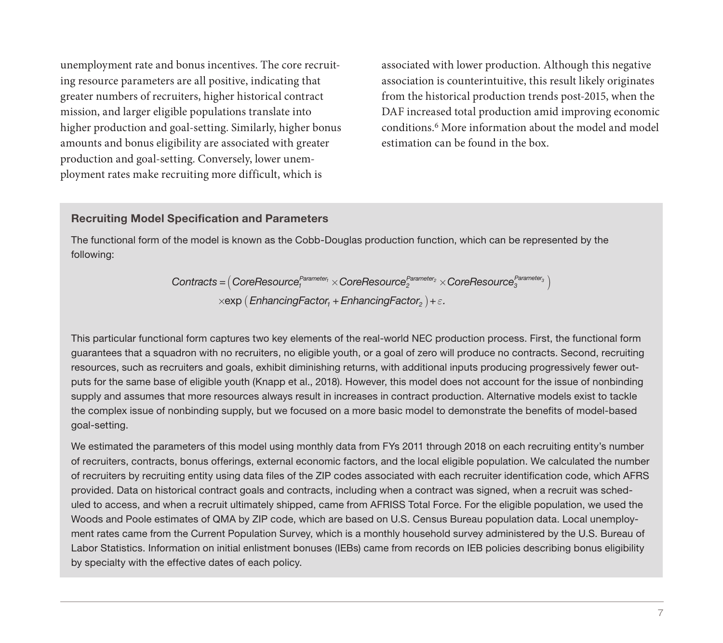unemployment rate and bonus incentives. The core recruiting resource parameters are all positive, indicating that greater numbers of recruiters, higher historical contract mission, and larger eligible populations translate into higher production and goal-setting. Similarly, higher bonus amounts and bonus eligibility are associated with greater production and goal-setting. Conversely, lower unemployment rates make recruiting more difficult, which is

associated with lower production. Although this negative association is counterintuitive, this result likely originates from the historical production trends post-2015, when the DAF increased total production amid improving economic conditions.6 More information about the model and model estimation can be found in the box.

#### Recruiting Model Specification and Parameters

The functional form of the model is known as the Cobb-Douglas production function, which can be represented by the following:

> $\times$ exp (*EnhancingFactor<sub>1</sub>* + *EnhancingFactor<sub>2</sub>*) +  $\varepsilon$ .  $\textit{Contracts}=\left(\textit{CoreResource}_{1}^{\textit{Parameter}_{1}}\times\textit{CoreResource}_{2}^{\textit{Parameter}_{2}}\times\textit{CoreResource}_{3}^{\textit{Parameter}_{3}}\right)$

This particular functional form captures two key elements of the real-world NEC production process. First, the functional form guarantees that a squadron with no recruiters, no eligible youth, or a goal of zero will produce no contracts. Second, recruiting resources, such as recruiters and goals, exhibit diminishing returns, with additional inputs producing progressively fewer outputs for the same base of eligible youth (Knapp et al., 2018). However, this model does not account for the issue of nonbinding supply and assumes that more resources always result in increases in contract production. Alternative models exist to tackle the complex issue of nonbinding supply, but we focused on a more basic model to demonstrate the benefits of model-based goal-setting.

We estimated the parameters of this model using monthly data from FYs 2011 through 2018 on each recruiting entity's number of recruiters, contracts, bonus offerings, external economic factors, and the local eligible population. We calculated the number of recruiters by recruiting entity using data files of the ZIP codes associated with each recruiter identification code, which AFRS provided. Data on historical contract goals and contracts, including when a contract was signed, when a recruit was scheduled to access, and when a recruit ultimately shipped, came from AFRISS Total Force. For the eligible population, we used the Woods and Poole estimates of QMA by ZIP code, which are based on U.S. Census Bureau population data. Local unemployment rates came from the Current Population Survey, which is a monthly household survey administered by the U.S. Bureau of Labor Statistics. Information on initial enlistment bonuses (IEBs) came from records on IEB policies describing bonus eligibility by specialty with the effective dates of each policy.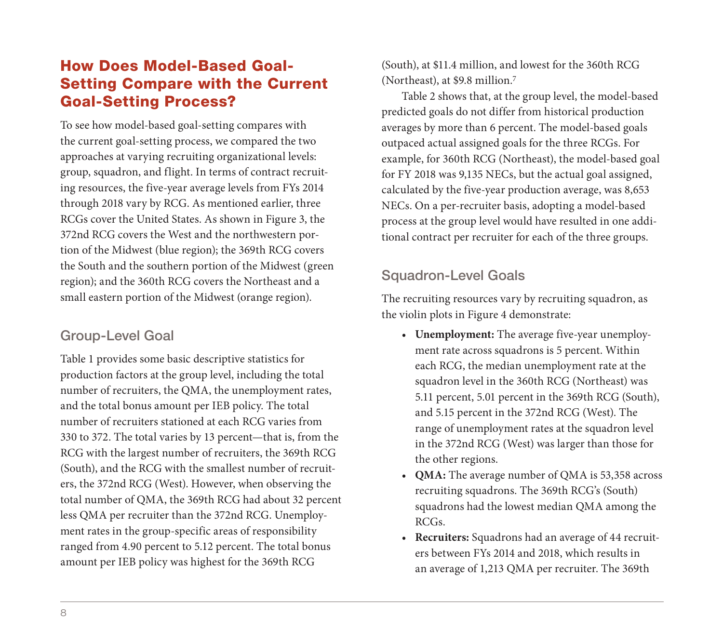# How Does Model-Based Goal-Setting Compare with the Current Goal-Setting Process?

To see how model-based goal-setting compares with the current goal-setting process, we compared the two approaches at varying recruiting organizational levels: group, squadron, and flight. In terms of contract recruiting resources, the five-year average levels from FYs 2014 through 2018 vary by RCG. As mentioned earlier, three RCGs cover the United States. As shown in Figure 3, the 372nd RCG covers the West and the northwestern portion of the Midwest (blue region); the 369th RCG covers the South and the southern portion of the Midwest (green region); and the 360th RCG covers the Northeast and a small eastern portion of the Midwest (orange region).

## Group-Level Goal

Table 1 provides some basic descriptive statistics for production factors at the group level, including the total number of recruiters, the QMA, the unemployment rates, and the total bonus amount per IEB policy. The total number of recruiters stationed at each RCG varies from 330 to 372. The total varies by 13 percent—that is, from the RCG with the largest number of recruiters, the 369th RCG (South), and the RCG with the smallest number of recruiters, the 372nd RCG (West). However, when observing the total number of QMA, the 369th RCG had about 32 percent less QMA per recruiter than the 372nd RCG. Unemployment rates in the group-specific areas of responsibility ranged from 4.90 percent to 5.12 percent. The total bonus amount per IEB policy was highest for the 369th RCG

(South), at \$11.4 million, and lowest for the 360th RCG (Northeast), at \$9.8 million.7

Table 2 shows that, at the group level, the model-based predicted goals do not differ from historical production averages by more than 6 percent. The model-based goals outpaced actual assigned goals for the three RCGs. For example, for 360th RCG (Northeast), the model-based goal for FY 2018 was 9,135 NECs, but the actual goal assigned, calculated by the five-year production average, was 8,653 NECs. On a per-recruiter basis, adopting a model-based process at the group level would have resulted in one additional contract per recruiter for each of the three groups.

# Squadron-Level Goals

The recruiting resources vary by recruiting squadron, as the violin plots in Figure 4 demonstrate:

- **Unemployment:** The average five-year unemployment rate across squadrons is 5 percent. Within each RCG, the median unemployment rate at the squadron level in the 360th RCG (Northeast) was 5.11 percent, 5.01 percent in the 369th RCG (South), and 5.15 percent in the 372nd RCG (West). The range of unemployment rates at the squadron level in the 372nd RCG (West) was larger than those for the other regions.
- **QMA:** The average number of QMA is 53,358 across recruiting squadrons. The 369th RCG's (South) squadrons had the lowest median QMA among the RCGs.
- **Recruiters:** Squadrons had an average of 44 recruiters between FYs 2014 and 2018, which results in an average of 1,213 QMA per recruiter. The 369th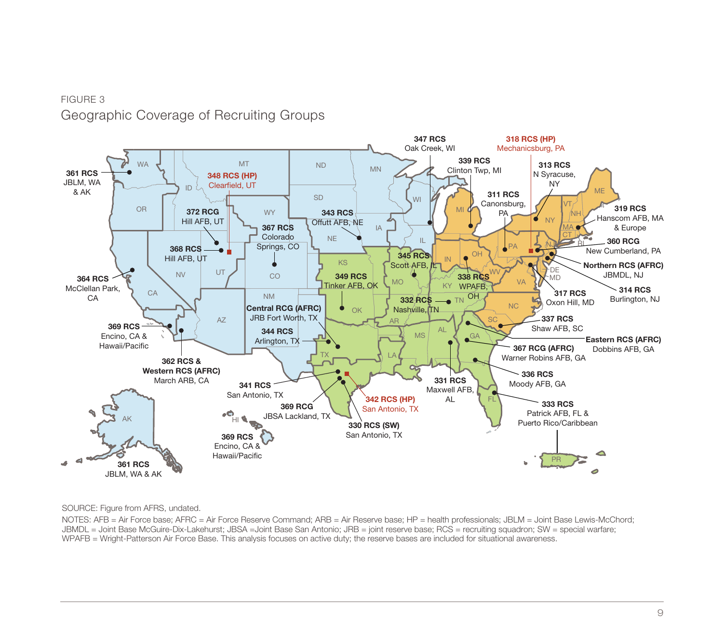## FIGURE 3 Geographic Coverage of Recruiting Groups



SOURCE: Figure from AFRS, undated.

NOTES: AFB = Air Force base; AFRC = Air Force Reserve Command; ARB = Air Reserve base; HP = health professionals; JBLM = Joint Base Lewis-McChord; JBMDL = Joint Base McGuire-Dix-Lakehurst; JBSA =Joint Base San Antonio; JRB = joint reserve base; RCS = recruiting squadron; SW = special warfare; WPAFB = Wright-Patterson Air Force Base. This analysis focuses on active duty; the reserve bases are included for situational awareness.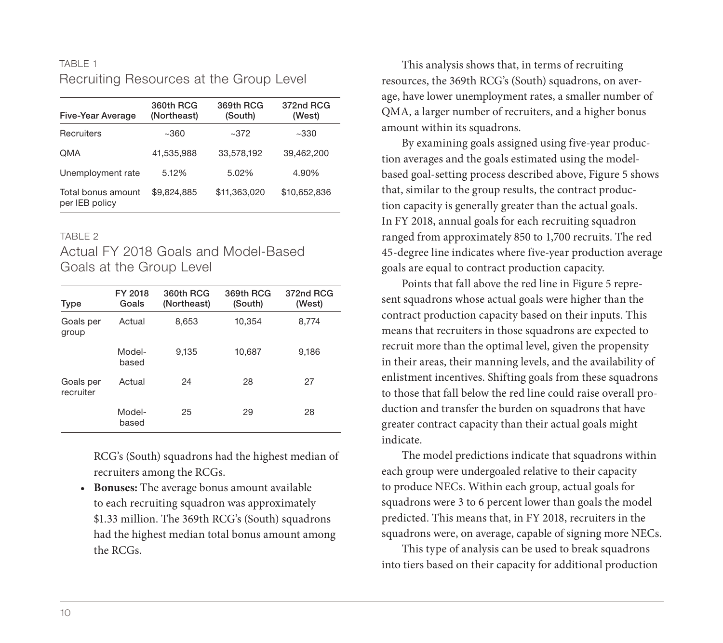### TABLE 1 Recruiting Resources at the Group Level

| Five-Year Average                    | 360th RCG<br>(Northeast) | 369th RCG<br>(South) | 372nd RCG<br>(West) |
|--------------------------------------|--------------------------|----------------------|---------------------|
| Recruiters                           | ~100                     | ~1.372               | ~1.330              |
| <b>OMA</b>                           | 41.535.988               | 33,578,192           | 39.462.200          |
| Unemployment rate                    | 5.12%                    | 5.02%                | 4.90%               |
| Total bonus amount<br>per IEB policy | \$9.824.885              | \$11.363.020         | \$10,652,836        |

#### TARI F 2

## Actual FY 2018 Goals and Model-Based Goals at the Group Level

| Type                   | FY 2018<br>Goals | 360th RCG<br>(Northeast) | 369th RCG<br>(South) | 372nd RCG<br>(West) |
|------------------------|------------------|--------------------------|----------------------|---------------------|
| Goals per<br>group     | Actual           | 8,653                    | 10,354               | 8,774               |
|                        | Model-<br>based  | 9.135                    | 10,687               | 9.186               |
| Goals per<br>recruiter | Actual           | 24                       | 28                   | 27                  |
|                        | Model-<br>based  | 25                       | 29                   | 28                  |

RCG's (South) squadrons had the highest median of recruiters among the RCGs.

• **Bonuses:** The average bonus amount available to each recruiting squadron was approximately \$1.33 million. The 369th RCG's (South) squadrons had the highest median total bonus amount among the RCGs.

This analysis shows that, in terms of recruiting resources, the 369th RCG's (South) squadrons, on average, have lower unemployment rates, a smaller number of QMA, a larger number of recruiters, and a higher bonus amount within its squadrons.

By examining goals assigned using five-year production averages and the goals estimated using the modelbased goal-setting process described above, Figure 5 shows that, similar to the group results, the contract production capacity is generally greater than the actual goals. In FY 2018, annual goals for each recruiting squadron ranged from approximately 850 to 1,700 recruits. The red 45-degree line indicates where five-year production average goals are equal to contract production capacity.

Points that fall above the red line in Figure 5 represent squadrons whose actual goals were higher than the contract production capacity based on their inputs. This means that recruiters in those squadrons are expected to recruit more than the optimal level, given the propensity in their areas, their manning levels, and the availability of enlistment incentives. Shifting goals from these squadrons to those that fall below the red line could raise overall production and transfer the burden on squadrons that have greater contract capacity than their actual goals might indicate.

The model predictions indicate that squadrons within each group were undergoaled relative to their capacity to produce NECs. Within each group, actual goals for squadrons were 3 to 6 percent lower than goals the model predicted. This means that, in FY 2018, recruiters in the squadrons were, on average, capable of signing more NECs.

This type of analysis can be used to break squadrons into tiers based on their capacity for additional production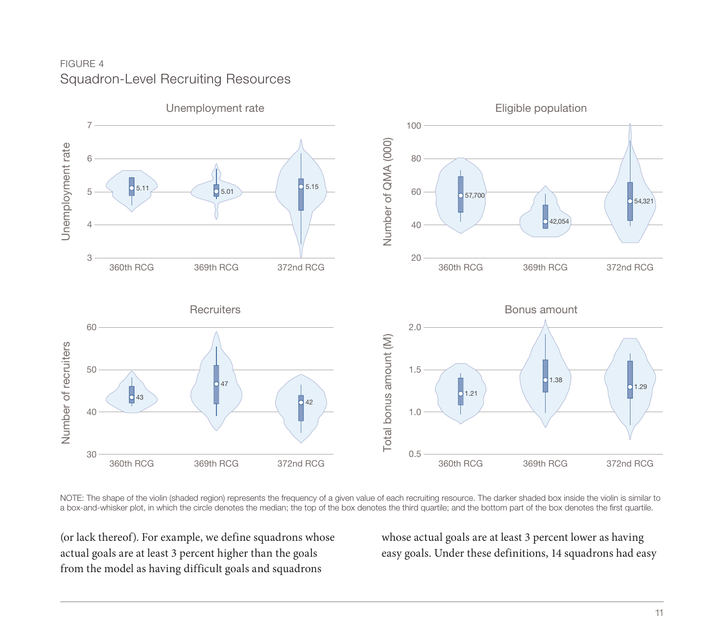## FIGURE 4 Squadron-Level Recruiting Resources



NOTE: The shape of the violin (shaded region) represents the frequency of a given value of each recruiting resource. The darker shaded box inside the violin is similar to a box-and-whisker plot, in which the circle denotes the median; the top of the box denotes the third quartile; and the bottom part of the box denotes the first quartile.

(or lack thereof). For example, we define squadrons whose actual goals are at least 3 percent higher than the goals from the model as having difficult goals and squadrons

whose actual goals are at least 3 percent lower as having easy goals. Under these definitions, 14 squadrons had easy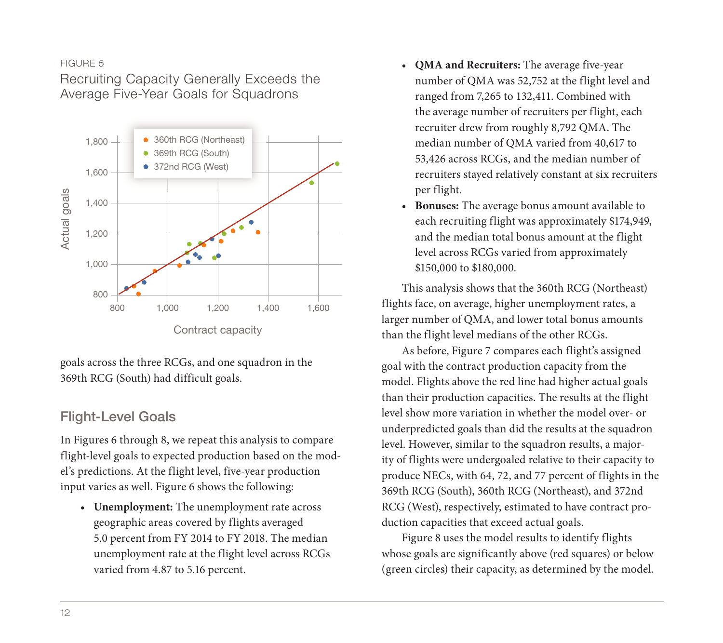#### FIGURE 5

Recruiting Capacity Generally Exceeds the Average Five-Year Goals for Squadrons



goals across the three RCGs, and one squadron in the 369th RCG (South) had difficult goals.

## Flight-Level Goals

In Figures 6 through 8, we repeat this analysis to compare flight-level goals to expected production based on the model's predictions. At the flight level, five-year production input varies as well. Figure 6 shows the following:

• **Unemployment:** The unemployment rate across geographic areas covered by flights averaged 5.0 percent from FY 2014 to FY 2018. The median unemployment rate at the flight level across RCGs varied from 4.87 to 5.16 percent.

- **QMA and Recruiters:** The average five-year number of QMA was 52,752 at the flight level and ranged from 7,265 to 132,411. Combined with the average number of recruiters per flight, each recruiter drew from roughly 8,792 QMA. The median number of QMA varied from 40,617 to 53,426 across RCGs, and the median number of recruiters stayed relatively constant at six recruiters per flight.
- **Bonuses:** The average bonus amount available to each recruiting flight was approximately \$174,949, and the median total bonus amount at the flight level across RCGs varied from approximately \$150,000 to \$180,000.

This analysis shows that the 360th RCG (Northeast) flights face, on average, higher unemployment rates, a larger number of QMA, and lower total bonus amounts than the flight level medians of the other RCGs.

As before, Figure 7 compares each flight's assigned goal with the contract production capacity from the model. Flights above the red line had higher actual goals than their production capacities. The results at the flight level show more variation in whether the model over- or underpredicted goals than did the results at the squadron level. However, similar to the squadron results, a majority of flights were undergoaled relative to their capacity to produce NECs, with 64, 72, and 77 percent of flights in the 369th RCG (South), 360th RCG (Northeast), and 372nd RCG (West), respectively, estimated to have contract production capacities that exceed actual goals.

Figure 8 uses the model results to identify flights whose goals are significantly above (red squares) or below (green circles) their capacity, as determined by the model.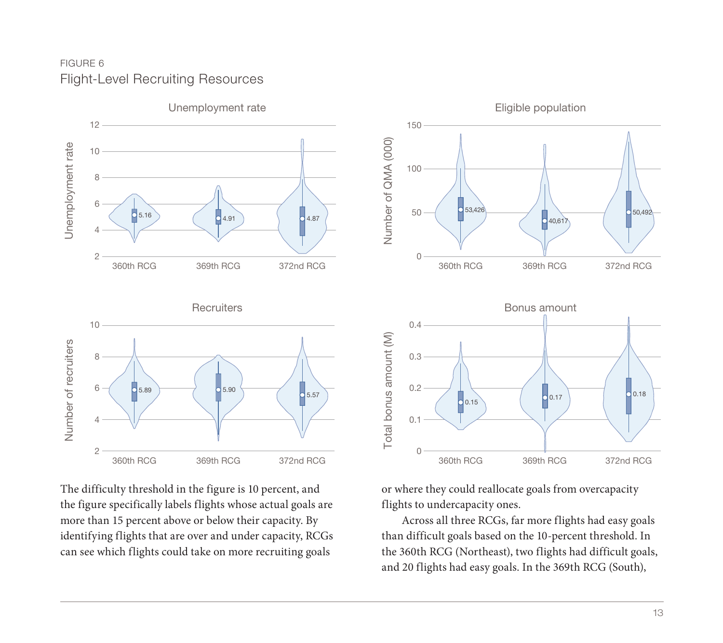## FIGURE 6 Flight-Level Recruiting Resources



The difficulty threshold in the figure is 10 percent, and the figure specifically labels flights whose actual goals are more than 15 percent above or below their capacity. By identifying flights that are over and under capacity, RCGs can see which flights could take on more recruiting goals



or where they could reallocate goals from overcapacity flights to undercapacity ones.

Across all three RCGs, far more flights had easy goals than difficult goals based on the 10-percent threshold. In the 360th RCG (Northeast), two flights had difficult goals, and 20 flights had easy goals. In the 369th RCG (South),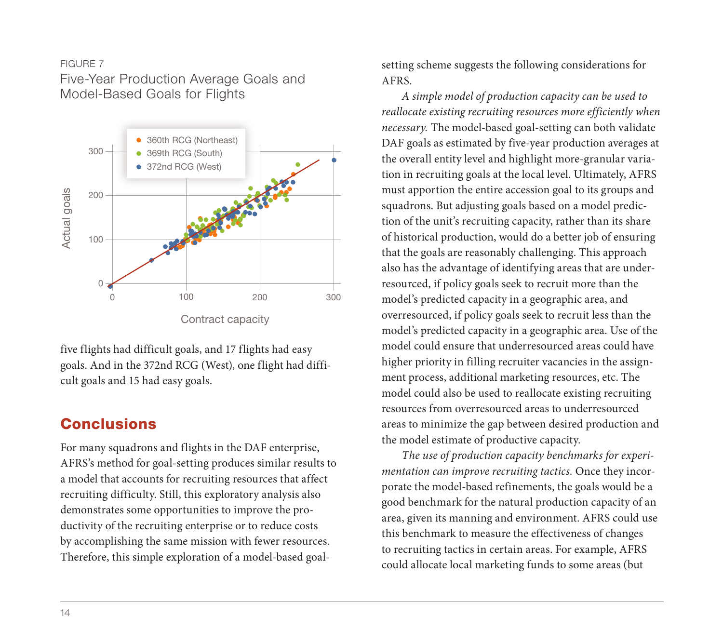#### FIGURE 7

Five-Year Production Average Goals and Model-Based Goals for Flights



five flights had difficult goals, and 17 flights had easy goals. And in the 372nd RCG (West), one flight had difficult goals and 15 had easy goals.

# **Conclusions**

For many squadrons and flights in the DAF enterprise, AFRS's method for goal-setting produces similar results to a model that accounts for recruiting resources that affect recruiting difficulty. Still, this exploratory analysis also demonstrates some opportunities to improve the productivity of the recruiting enterprise or to reduce costs by accomplishing the same mission with fewer resources. Therefore, this simple exploration of a model-based goalsetting scheme suggests the following considerations for AFRS.

*A simple model of production capacity can be used to reallocate existing recruiting resources more efficiently when necessary.* The model-based goal-setting can both validate DAF goals as estimated by five-year production averages at the overall entity level and highlight more-granular variation in recruiting goals at the local level. Ultimately, AFRS must apportion the entire accession goal to its groups and squadrons. But adjusting goals based on a model prediction of the unit's recruiting capacity, rather than its share of historical production, would do a better job of ensuring that the goals are reasonably challenging. This approach also has the advantage of identifying areas that are underresourced, if policy goals seek to recruit more than the model's predicted capacity in a geographic area, and overresourced, if policy goals seek to recruit less than the model's predicted capacity in a geographic area. Use of the model could ensure that underresourced areas could have higher priority in filling recruiter vacancies in the assignment process, additional marketing resources, etc. The model could also be used to reallocate existing recruiting resources from overresourced areas to underresourced areas to minimize the gap between desired production and the model estimate of productive capacity.

*The use of production capacity benchmarks for experimentation can improve recruiting tactics.* Once they incorporate the model-based refinements, the goals would be a good benchmark for the natural production capacity of an area, given its manning and environment. AFRS could use this benchmark to measure the effectiveness of changes to recruiting tactics in certain areas. For example, AFRS could allocate local marketing funds to some areas (but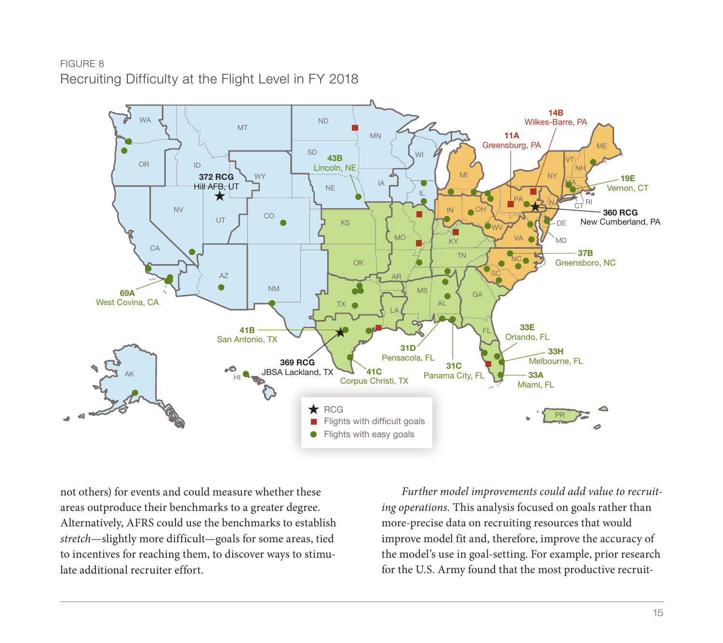## FIGURE 8 Recruiting Difficulty at the Flight Level in FY 2018



not others) for events and could measure whether these areas outproduce their benchmarks to a greater degree. Alternatively, AFRS could use the benchmarks to establish *stretch*—slightly more difficult—goals for some areas, tied to incentives for reaching them, to discover ways to stimulate additional recruiter effort.

*Further model improvements could add value to recruiting operations.* This analysis focused on goals rather than more-precise data on recruiting resources that would improve model fit and, therefore, improve the accuracy of the model's use in goal-setting. For example, prior research for the U.S. Army found that the most productive recruit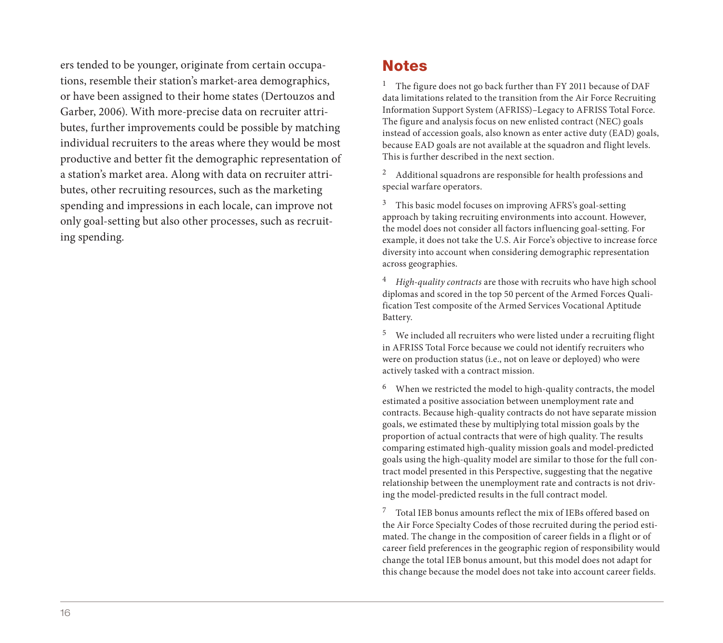ers tended to be younger, originate from certain occupations, resemble their station's market-area demographics, or have been assigned to their home states (Dertouzos and Garber, 2006). With more-precise data on recruiter attributes, further improvements could be possible by matching individual recruiters to the areas where they would be most productive and better fit the demographic representation of a station's market area. Along with data on recruiter attributes, other recruiting resources, such as the marketing spending and impressions in each locale, can improve not only goal-setting but also other processes, such as recruiting spending.

## **Notes**

<sup>1</sup> The figure does not go back further than FY 2011 because of DAF data limitations related to the transition from the Air Force Recruiting Information Support System (AFRISS)–Legacy to AFRISS Total Force. The figure and analysis focus on new enlisted contract (NEC) goals instead of accession goals, also known as enter active duty (EAD) goals, because EAD goals are not available at the squadron and flight levels. This is further described in the next section.

<sup>2</sup> Additional squadrons are responsible for health professions and special warfare operators.

 $3$  This basic model focuses on improving AFRS's goal-setting approach by taking recruiting environments into account. However, the model does not consider all factors influencing goal-setting. For example, it does not take the U.S. Air Force's objective to increase force diversity into account when considering demographic representation across geographies.

<sup>4</sup> *High-quality contracts* are those with recruits who have high school diplomas and scored in the top 50 percent of the Armed Forces Qualification Test composite of the Armed Services Vocational Aptitude Battery.

<sup>5</sup> We included all recruiters who were listed under a recruiting flight in AFRISS Total Force because we could not identify recruiters who were on production status (i.e., not on leave or deployed) who were actively tasked with a contract mission.

<sup>6</sup> When we restricted the model to high-quality contracts, the model estimated a positive association between unemployment rate and contracts. Because high-quality contracts do not have separate mission goals, we estimated these by multiplying total mission goals by the proportion of actual contracts that were of high quality. The results comparing estimated high-quality mission goals and model-predicted goals using the high-quality model are similar to those for the full contract model presented in this Perspective, suggesting that the negative relationship between the unemployment rate and contracts is not driving the model-predicted results in the full contract model.

<sup>7</sup> Total IEB bonus amounts reflect the mix of IEBs offered based on the Air Force Specialty Codes of those recruited during the period estimated. The change in the composition of career fields in a flight or of career field preferences in the geographic region of responsibility would change the total IEB bonus amount, but this model does not adapt for this change because the model does not take into account career fields.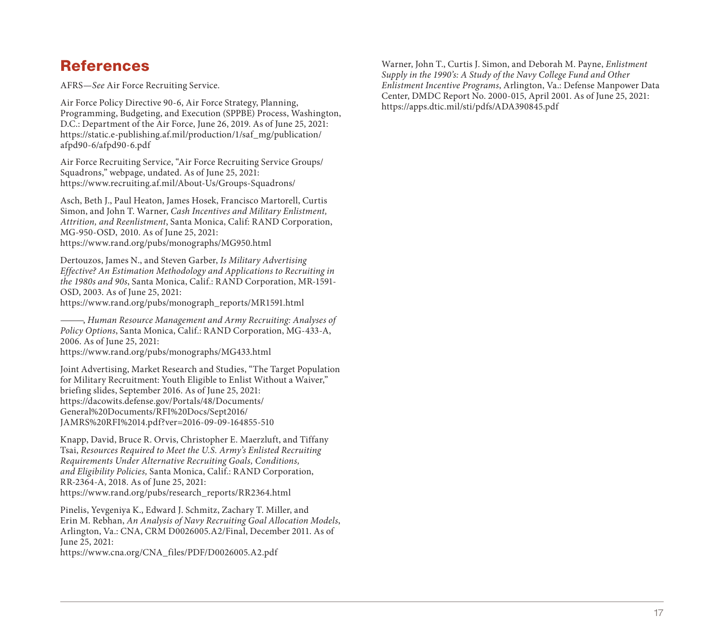# **References**

AFRS—*See* Air Force Recruiting Service.

Air Force Policy Directive 90-6, Air Force Strategy, Planning, Programming, Budgeting, and Execution (SPPBE) Process, Washington, D.C.: Department of the Air Force, June 26, 2019. As of June 25, 2021: [https://static.e-publishing.af.mil/production/1/saf\\_mg/publication/](https://static.e-publishing.af.mil/production/1/saf_mg/publication/afpd90-6/afpd90-6.pdf) afpd90-6/afpd90-6.pdf

Air Force Recruiting Service, "Air Force Recruiting Service Groups/ Squadrons," webpage, undated. As of June 25, 2021: <https://www.recruiting.af.mil/About-Us/Groups-Squadrons/>

Asch, Beth J., Paul Heaton, James Hosek, Francisco Martorell, Curtis Simon, and John T. Warner, *Cash Incentives and Military Enlistment, Attrition, and Reenlistment*, Santa Monica, Calif: RAND Corporation, MG-950-OSD, 2010. As of June 25, 2021: <https://www.rand.org/pubs/monographs/MG950.html>

Dertouzos, James N., and Steven Garber, *Is Military Advertising Effective? An Estimation Methodology and Applications to Recruiting in the 1980s and 90s*, Santa Monica, Calif.: RAND Corporation, MR-1591- OSD, 2003. As of June 25, 2021: [https://www.rand.org/pubs/monograph\\_reports/MR1591.html](https://www.rand.org/pubs/monograph_reports/MR1591.html)

———, *Human Resource Management and Army Recruiting: Analyses of Policy Options*, Santa Monica, Calif.: RAND Corporation, MG-433-A, 2006. As of June 25, 2021: <https://www.rand.org/pubs/monographs/MG433.html>

Joint Advertising, Market Research and Studies, "The Target Population for Military Recruitment: Youth Eligible to Enlist Without a Waiver," briefing slides, September 2016. As of June 25, 2021: https://dacowits.defense.gov/Portals/48/Documents/ General%20Documents/RFI%20Docs/Sept2016/ [JAMRS%20RFI%2014.pdf?ver=2016-09-09-164855-510](https://dacowits.defense.gov/Portals/48/Documents/General%20Documents/RFI%20Docs/Sept2016/JAMRS%20RFI%2014.pdf?ver=2016-09-09-164855-510)

Knapp, David, Bruce R. Orvis, Christopher E. Maerzluft, and Tiffany Tsai, *Resources Required to Meet the U.S. Army's Enlisted Recruiting Requirements Under Alternative Recruiting Goals, Conditions, and Eligibility Policies,* Santa Monica, Calif.: RAND Corporation, RR-2364-A, 2018. As of June 25, 2021: [https://www.rand.org/pubs/research\\_reports/RR2364.html](https://www.rand.org/pubs/research_reports/RR2364.html)

Pinelis, Yevgeniya K., Edward J. Schmitz, Zachary T. Miller, and Erin M. Rebhan, *An Analysis of Navy Recruiting Goal Allocation Models*, Arlington, Va.: CNA, CRM D0026005.A2/Final, December 2011. As of June 25, 2021:

[https://www.cna.org/CNA\\_files/PDF/D0026005.A2.pdf](https://www.cna.org/CNA_files/PDF/D0026005.A2.pdf) 

Warner, John T., Curtis J. Simon, and Deborah M. Payne, *Enlistment Supply in the 1990's: A Study of the Navy College Fund and Other Enlistment Incentive Programs*, Arlington, Va.: Defense Manpower Data Center, DMDC Report No. 2000-015, April 2001. As of June 25, 2021: <https://apps.dtic.mil/sti/pdfs/ADA390845.pdf>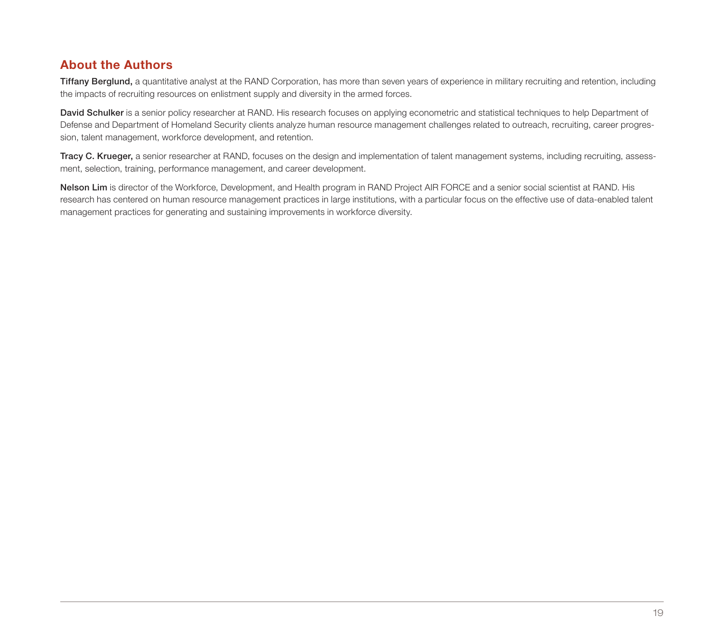## About the Authors

Tiffany Berglund, a quantitative analyst at the RAND Corporation, has more than seven years of experience in military recruiting and retention, including the impacts of recruiting resources on enlistment supply and diversity in the armed forces.

David Schulker is a senior policy researcher at RAND. His research focuses on applying econometric and statistical techniques to help Department of Defense and Department of Homeland Security clients analyze human resource management challenges related to outreach, recruiting, career progression, talent management, workforce development, and retention.

Tracy C. Krueger, a senior researcher at RAND, focuses on the design and implementation of talent management systems, including recruiting, assessment, selection, training, performance management, and career development.

Nelson Lim is director of the Workforce, Development, and Health program in RAND Project AIR FORCE and a senior social scientist at RAND. His research has centered on human resource management practices in large institutions, with a particular focus on the effective use of data-enabled talent management practices for generating and sustaining improvements in workforce diversity.